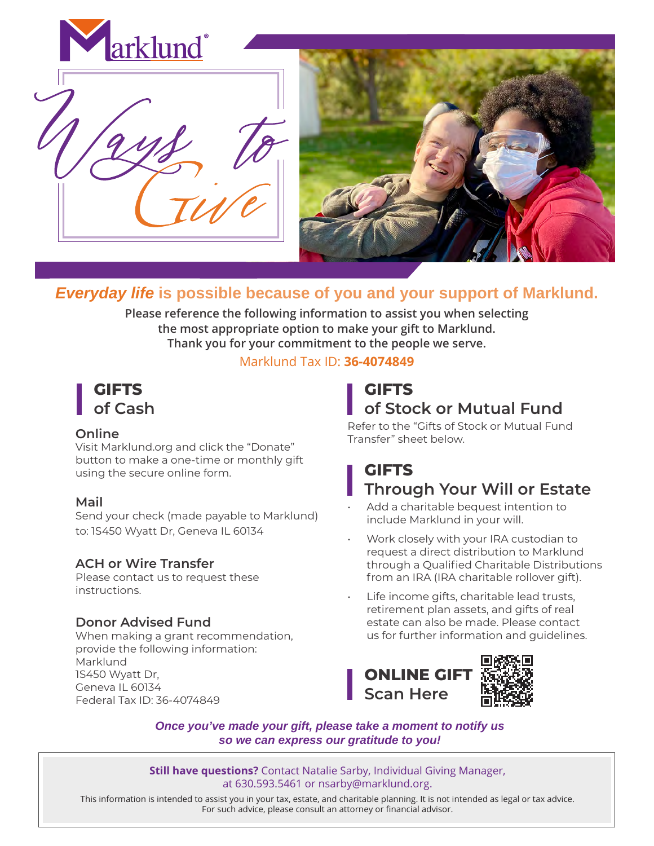

# *Everyday life* **is possible because of you and your support of Marklund.**

**Please reference the following information to assist you when selecting the most appropriate option to make your gift to Marklund. Thank you for your commitment to the people we serve.**

#### Marklund Tax ID: **36-4074849**



## **Online**

Visit Marklund.org and click the "Donate" button to make a one-time or monthly gift using the secure online form.

## **Mail**

Send your check (made payable to Marklund) to: 1S450 Wyatt Dr, Geneva IL 60134

## **ACH or Wire Transfer**

Please contact us to request these instructions.

## **Donor Advised Fund**

When making a grant recommendation, provide the following information: Marklund 1S450 Wyatt Dr, Geneva IL 60134 Federal Tax ID: 36-4074849

# **GIFTS of Stock or Mutual Fund**

Refer to the "Gifts of Stock or Mutual Fund Transfer" sheet below.

# **GIFTS Through Your Will or Estate**

- Add a charitable bequest intention to include Marklund in your will.
- Work closely with your IRA custodian to request a direct distribution to Marklund through a Qualified Charitable Distributions from an IRA (IRA charitable rollover gift).
- Life income gifts, charitable lead trusts, retirement plan assets, and gifts of real estate can also be made. Please contact us for further information and guidelines.



*Once you've made your gift, please take a moment to notify us so we can express our gratitude to you!*

**Still have questions?** Contact Natalie Sarby, Individual Giving Manager, at 630.593.5461 or nsarby@marklund.org.

This information is intended to assist you in your tax, estate, and charitable planning. It is not intended as legal or tax advice. For such advice, please consult an attorney or financial advisor.